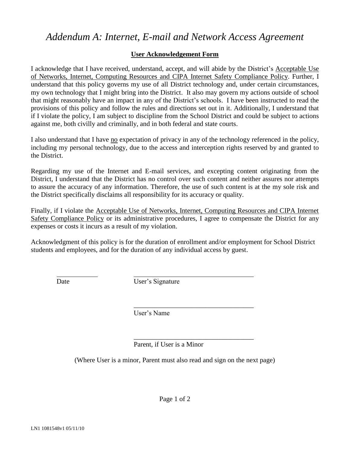## *Addendum A: Internet, E-mail and Network Access Agreement*

## **User Acknowledgement Form**

I acknowledge that I have received, understand, accept, and will abide by the District's Acceptable Use of Networks, Internet, Computing Resources and CIPA Internet Safety Compliance Policy. Further, I understand that this policy governs my use of all District technology and, under certain circumstances, my own technology that I might bring into the District. It also may govern my actions outside of school that might reasonably have an impact in any of the District's schools. I have been instructed to read the provisions of this policy and follow the rules and directions set out in it. Additionally, I understand that if I violate the policy, I am subject to discipline from the School District and could be subject to actions against me, both civilly and criminally, and in both federal and state courts.

I also understand that I have no expectation of privacy in any of the technology referenced in the policy, including my personal technology, due to the access and interception rights reserved by and granted to the District.

Regarding my use of the Internet and E-mail services, and excepting content originating from the District, I understand that the District has no control over such content and neither assures nor attempts to assure the accuracy of any information. Therefore, the use of such content is at the my sole risk and the District specifically disclaims all responsibility for its accuracy or quality.

Finally, if I violate the Acceptable Use of Networks, Internet, Computing Resources and CIPA Internet Safety Compliance Policy or its administrative procedures, I agree to compensate the District for any expenses or costs it incurs as a result of my violation.

Acknowledgment of this policy is for the duration of enrollment and/or employment for School District students and employees, and for the duration of any individual access by guest.

 $\overline{a}$ 

Date User's Signature

User's Name

Parent, if User is a Minor

(Where User is a minor, Parent must also read and sign on the next page)

\_\_\_\_\_\_\_\_\_\_\_\_\_\_\_\_\_\_\_\_\_\_\_\_\_\_\_\_\_\_\_\_\_\_\_

\_\_\_\_\_\_\_\_\_\_\_\_\_\_\_\_\_\_\_\_\_\_\_\_\_\_\_\_\_\_\_\_\_\_\_